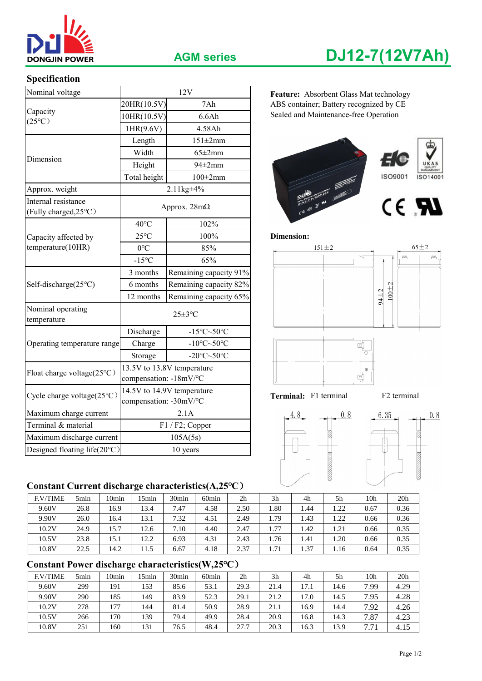

# **Specification**

| Nominal voltage                              |                                                      | 12V                                           | Feature: Absorbent Glass Mat technology |  |  |  |  |  |
|----------------------------------------------|------------------------------------------------------|-----------------------------------------------|-----------------------------------------|--|--|--|--|--|
|                                              | 7Ah<br>20HR(10.5V)                                   |                                               | ABS container; Battery recognized by CE |  |  |  |  |  |
| Capacity<br>$(25^{\circ}C)$                  | 10HR(10.5V)                                          | 6.6Ah                                         | Sealed and Maintenance-free Operation   |  |  |  |  |  |
|                                              | 1HR(9.6V)                                            | 4.58Ah                                        |                                         |  |  |  |  |  |
|                                              | Length                                               | $151 \pm 2$ mm                                |                                         |  |  |  |  |  |
| Dimension                                    | Width<br>$65 \pm 2$ mm                               |                                               |                                         |  |  |  |  |  |
|                                              | Height                                               | $94\pm2$ mm                                   |                                         |  |  |  |  |  |
|                                              | Total height                                         | $100\pm2$ mm                                  | ISO9001<br>ISO14001                     |  |  |  |  |  |
| Approx. weight                               |                                                      | 2.11kg±4%                                     |                                         |  |  |  |  |  |
| Internal resistance<br>(Fully charged, 25°C) |                                                      | Approx. $28m\Omega$                           | CEBRU E<br>CE RU                        |  |  |  |  |  |
|                                              | $40^{\circ}$ C                                       | 102%                                          |                                         |  |  |  |  |  |
| Capacity affected by                         | $25^{\circ}$ C                                       | 100%                                          | <b>Dimension:</b>                       |  |  |  |  |  |
| temperature(10HR)                            | $0^{\circ}C$<br>85%                                  |                                               | $65 \pm 2$<br>$151 \pm 2$               |  |  |  |  |  |
|                                              | $-15^{\circ}C$                                       | 65%                                           |                                         |  |  |  |  |  |
|                                              | 3 months                                             | Remaining capacity 91%                        |                                         |  |  |  |  |  |
| Self-discharge(25°C)                         | 6 months                                             | Remaining capacity 82%                        | $100 + 2$                               |  |  |  |  |  |
|                                              | Remaining capacity 65%<br>12 months                  |                                               | 94±2                                    |  |  |  |  |  |
| Nominal operating<br>temperature             | $25 \pm 3$ °C                                        |                                               |                                         |  |  |  |  |  |
|                                              | Discharge                                            | $-15^{\circ}$ C $\sim$ 50 $^{\circ}$ C        |                                         |  |  |  |  |  |
| Operating temperature range                  | Charge                                               | -10 $\textdegree$ C $\sim$ 50 $\textdegree$ C | 흯                                       |  |  |  |  |  |
|                                              | Storage                                              | -20 $\textdegree$ C $\sim$ 50 $\textdegree$ C | $\overline{\Theta}$                     |  |  |  |  |  |
| Float charge voltage(25°C)                   | compensation: -18mV/°C                               | 13.5V to 13.8V temperature                    | $\oplus$<br>ď                           |  |  |  |  |  |
| Cycle charge voltage(25°C)                   | 14.5V to 14.9V temperature<br>compensation: -30mV/°C |                                               | Terminal: F1 terminal<br>F2 terminal    |  |  |  |  |  |
| Maximum charge current                       | 2.1A                                                 |                                               | 4.8<br>0.8<br>6.35<br>0.8               |  |  |  |  |  |
| Terminal & material                          | $F1 / F2$ ; Copper                                   |                                               |                                         |  |  |  |  |  |
| Maximum discharge current                    |                                                      | 105A(5s)                                      |                                         |  |  |  |  |  |
| Designed floating life(20°C)                 |                                                      | 10 years                                      |                                         |  |  |  |  |  |

### **Constant Current discharge characteristics(A,25℃**)

| <b>F.V/TIME</b> | 5min | l Omin | i 5min | 30min               | 60 <sub>min</sub> | 2 <sub>h</sub> | 3 <sub>h</sub> | 4h   | 5h   | 10h  | 20 <sub>h</sub> |
|-----------------|------|--------|--------|---------------------|-------------------|----------------|----------------|------|------|------|-----------------|
| 9.60V           | 26.8 | 16.9   | 13.4   | 7.47                | 4.58              | 2.50           | 1.80           | 1.44 | 1.22 | 0.67 | 0.36            |
| 9.90V           | 26.0 | 16.4   | 13.1   | 7.32                | 4.51              | 2.49           | 1.79           | 1.43 | 1.22 | 0.66 | 0.36            |
| 10.2V           | 24.9 | 15.7   | 12.6   | −<br>$^{\prime}.10$ | 4.40              | 2.47           | 1.77           | 1.42 | 1.21 | 0.66 | 0.35            |
| 10.5V           | 23.8 | 15.1   | 12.2   | 6.93                | 4.31              | 2.43           | 1.76           | 1.41 | 1.20 | 0.66 | 0.35            |
| 10.8V           | 22.5 | 14.2   | 11.5   | 6.67                | 4.18              | 2.37           | 1.71           | 1.37 | 1.16 | 0.64 | 0.35            |

# **Constant Power discharge characteristics(W,25℃**)

| <b>F.V/TIME</b> | 5min | 10min | 5 <sub>min</sub> | 30 <sub>min</sub> | 60 <sub>min</sub> | 2 <sub>h</sub> | 3 <sub>h</sub> | 4h   | 5h   | 10h       | 20 <sub>h</sub> |
|-----------------|------|-------|------------------|-------------------|-------------------|----------------|----------------|------|------|-----------|-----------------|
| 9.60V           | 299  | 191   | 153              | 85.6              | 53.1              | 29.3           | 21.4           | 17.  | 14.6 | 7.99      | 4.29            |
| 9.90V           | 290  | 185   | 149              | 83.9              | 52.3              | 29.1           | 21.2           | 17.0 | 14.5 | 7.95      | 4.28            |
| 10.2V           | 278  | 177   | 144              | 81.4              | 50.9              | 28.9           | 21.1           | 16.9 | 14.4 | 7.92      | 4.26            |
| 10.5V           | 266  | 170   | 139              | 79.4              | 49.9              | 28.4           | 20.9           | 16.8 | 14.3 | 0.87<br>– | 4.23            |
| 10.8V           | 251  | 160   | 131              | 76.5              | 48.4              | 27.7           | 20.3           | 16.3 | 13.9 | ⇁<br>-71  | 4.15            |

# **AGM series DJ12-7(12V7Ah)**

Feature: Absorbent Glass Mat technology 20HR(10.5V) 7Ah ABS container; Battery recognized by CE